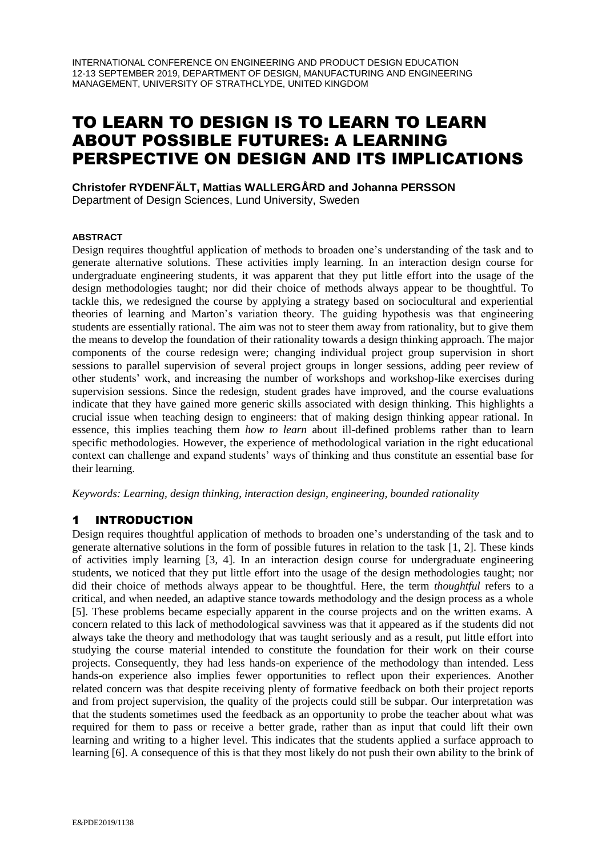# TO LEARN TO DESIGN IS TO LEARN TO LEARN ABOUT POSSIBLE FUTURES: A LEARNING PERSPECTIVE ON DESIGN AND ITS IMPLICATIONS

**Christofer RYDENFÄLT, Mattias WALLERGÅRD and Johanna PERSSON**

Department of Design Sciences, Lund University, Sweden

## **ABSTRACT**

Design requires thoughtful application of methods to broaden one's understanding of the task and to generate alternative solutions. These activities imply learning. In an interaction design course for undergraduate engineering students, it was apparent that they put little effort into the usage of the design methodologies taught; nor did their choice of methods always appear to be thoughtful. To tackle this, we redesigned the course by applying a strategy based on sociocultural and experiential theories of learning and Marton's variation theory. The guiding hypothesis was that engineering students are essentially rational. The aim was not to steer them away from rationality, but to give them the means to develop the foundation of their rationality towards a design thinking approach. The major components of the course redesign were; changing individual project group supervision in short sessions to parallel supervision of several project groups in longer sessions, adding peer review of other students' work, and increasing the number of workshops and workshop-like exercises during supervision sessions. Since the redesign, student grades have improved, and the course evaluations indicate that they have gained more generic skills associated with design thinking. This highlights a crucial issue when teaching design to engineers: that of making design thinking appear rational. In essence, this implies teaching them *how to learn* about ill-defined problems rather than to learn specific methodologies. However, the experience of methodological variation in the right educational context can challenge and expand students' ways of thinking and thus constitute an essential base for their learning.

*Keywords: Learning, design thinking, interaction design, engineering, bounded rationality* 

# 1 INTRODUCTION

Design requires thoughtful application of methods to broaden one's understanding of the task and to generate alternative solutions in the form of possible futures in relation to the task [1, 2]. These kinds of activities imply learning [3, 4]. In an interaction design course for undergraduate engineering students, we noticed that they put little effort into the usage of the design methodologies taught; nor did their choice of methods always appear to be thoughtful. Here, the term *thoughtful* refers to a critical, and when needed, an adaptive stance towards methodology and the design process as a whole [5]. These problems became especially apparent in the course projects and on the written exams. A concern related to this lack of methodological savviness was that it appeared as if the students did not always take the theory and methodology that was taught seriously and as a result, put little effort into studying the course material intended to constitute the foundation for their work on their course projects. Consequently, they had less hands-on experience of the methodology than intended. Less hands-on experience also implies fewer opportunities to reflect upon their experiences. Another related concern was that despite receiving plenty of formative feedback on both their project reports and from project supervision, the quality of the projects could still be subpar. Our interpretation was that the students sometimes used the feedback as an opportunity to probe the teacher about what was required for them to pass or receive a better grade, rather than as input that could lift their own learning and writing to a higher level. This indicates that the students applied a surface approach to learning [6]. A consequence of this is that they most likely do not push their own ability to the brink of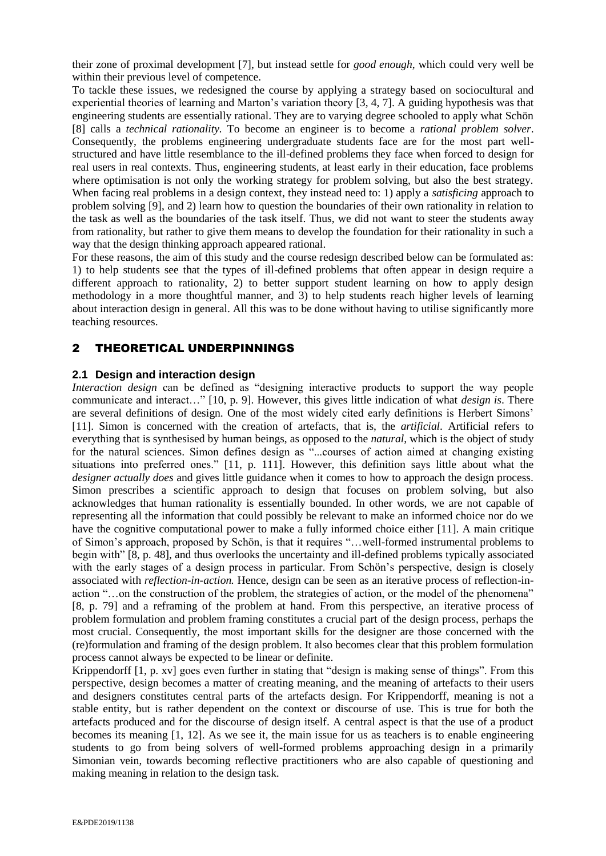their zone of proximal development [7], but instead settle for *good enough*, which could very well be within their previous level of competence.

To tackle these issues, we redesigned the course by applying a strategy based on sociocultural and experiential theories of learning and Marton's variation theory [3, 4, 7]. A guiding hypothesis was that engineering students are essentially rational. They are to varying degree schooled to apply what Schön [8] calls a *technical rationality.* To become an engineer is to become a *rational problem solver*. Consequently, the problems engineering undergraduate students face are for the most part wellstructured and have little resemblance to the ill-defined problems they face when forced to design for real users in real contexts. Thus, engineering students, at least early in their education, face problems where optimisation is not only the working strategy for problem solving, but also the best strategy. When facing real problems in a design context, they instead need to: 1) apply a *satisficing* approach to problem solving [9], and 2) learn how to question the boundaries of their own rationality in relation to the task as well as the boundaries of the task itself. Thus, we did not want to steer the students away from rationality, but rather to give them means to develop the foundation for their rationality in such a way that the design thinking approach appeared rational.

For these reasons, the aim of this study and the course redesign described below can be formulated as: 1) to help students see that the types of ill-defined problems that often appear in design require a different approach to rationality, 2) to better support student learning on how to apply design methodology in a more thoughtful manner, and 3) to help students reach higher levels of learning about interaction design in general. All this was to be done without having to utilise significantly more teaching resources.

# 2 THEORETICAL UNDERPINNINGS

## **2.1 Design and interaction design**

*Interaction design* can be defined as "designing interactive products to support the way people communicate and interact…" [10, p. 9]. However, this gives little indication of what *design is*. There are several definitions of design. One of the most widely cited early definitions is Herbert Simons' [11]. Simon is concerned with the creation of artefacts, that is, the *artificial*. Artificial refers to everything that is synthesised by human beings, as opposed to the *natural*, which is the object of study for the natural sciences. Simon defines design as "...courses of action aimed at changing existing situations into preferred ones." [11, p. 111]. However, this definition says little about what the *designer actually does* and gives little guidance when it comes to how to approach the design process. Simon prescribes a scientific approach to design that focuses on problem solving, but also acknowledges that human rationality is essentially bounded. In other words, we are not capable of representing all the information that could possibly be relevant to make an informed choice nor do we have the cognitive computational power to make a fully informed choice either [11]. A main critique of Simon's approach, proposed by Schön, is that it requires "…well-formed instrumental problems to begin with" [8, p. 48], and thus overlooks the uncertainty and ill-defined problems typically associated with the early stages of a design process in particular. From Schön's perspective, design is closely associated with *reflection-in-action.* Hence, design can be seen as an iterative process of reflection-inaction "…on the construction of the problem, the strategies of action, or the model of the phenomena" [8, p. 79] and a reframing of the problem at hand. From this perspective, an iterative process of problem formulation and problem framing constitutes a crucial part of the design process, perhaps the most crucial. Consequently, the most important skills for the designer are those concerned with the (re)formulation and framing of the design problem. It also becomes clear that this problem formulation process cannot always be expected to be linear or definite.

Krippendorff [1, p. xv] goes even further in stating that "design is making sense of things". From this perspective, design becomes a matter of creating meaning, and the meaning of artefacts to their users and designers constitutes central parts of the artefacts design. For Krippendorff, meaning is not a stable entity, but is rather dependent on the context or discourse of use. This is true for both the artefacts produced and for the discourse of design itself. A central aspect is that the use of a product becomes its meaning [1, 12]. As we see it, the main issue for us as teachers is to enable engineering students to go from being solvers of well-formed problems approaching design in a primarily Simonian vein, towards becoming reflective practitioners who are also capable of questioning and making meaning in relation to the design task.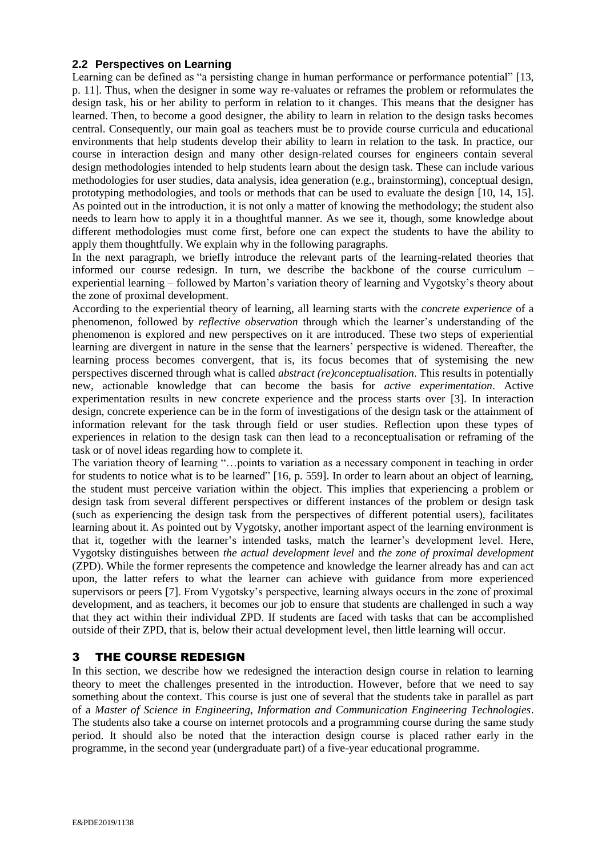## **2.2 Perspectives on Learning**

Learning can be defined as "a persisting change in human performance or performance potential" [13, p. 11]. Thus, when the designer in some way re-valuates or reframes the problem or reformulates the design task, his or her ability to perform in relation to it changes. This means that the designer has learned. Then, to become a good designer, the ability to learn in relation to the design tasks becomes central. Consequently, our main goal as teachers must be to provide course curricula and educational environments that help students develop their ability to learn in relation to the task. In practice, our course in interaction design and many other design-related courses for engineers contain several design methodologies intended to help students learn about the design task. These can include various methodologies for user studies, data analysis, idea generation (e.g., brainstorming), conceptual design, prototyping methodologies, and tools or methods that can be used to evaluate the design [10, 14, 15]. As pointed out in the introduction, it is not only a matter of knowing the methodology; the student also needs to learn how to apply it in a thoughtful manner. As we see it, though, some knowledge about different methodologies must come first, before one can expect the students to have the ability to apply them thoughtfully. We explain why in the following paragraphs.

In the next paragraph, we briefly introduce the relevant parts of the learning-related theories that informed our course redesign. In turn, we describe the backbone of the course curriculum – experiential learning – followed by Marton's variation theory of learning and Vygotsky's theory about the zone of proximal development.

According to the experiential theory of learning, all learning starts with the *concrete experience* of a phenomenon, followed by *reflective observation* through which the learner's understanding of the phenomenon is explored and new perspectives on it are introduced. These two steps of experiential learning are divergent in nature in the sense that the learners' perspective is widened. Thereafter, the learning process becomes convergent, that is, its focus becomes that of systemising the new perspectives discerned through what is called *abstract (re)conceptualisation*. This results in potentially new, actionable knowledge that can become the basis for *active experimentation*. Active experimentation results in new concrete experience and the process starts over [3]. In interaction design, concrete experience can be in the form of investigations of the design task or the attainment of information relevant for the task through field or user studies. Reflection upon these types of experiences in relation to the design task can then lead to a reconceptualisation or reframing of the task or of novel ideas regarding how to complete it.

The variation theory of learning "…points to variation as a necessary component in teaching in order for students to notice what is to be learned" [16, p. 559]. In order to learn about an object of learning, the student must perceive variation within the object. This implies that experiencing a problem or design task from several different perspectives or different instances of the problem or design task (such as experiencing the design task from the perspectives of different potential users), facilitates learning about it. As pointed out by Vygotsky, another important aspect of the learning environment is that it, together with the learner's intended tasks, match the learner's development level. Here, Vygotsky distinguishes between *the actual development level* and *the zone of proximal development*  (ZPD). While the former represents the competence and knowledge the learner already has and can act upon, the latter refers to what the learner can achieve with guidance from more experienced supervisors or peers [7]. From Vygotsky's perspective, learning always occurs in the zone of proximal development, and as teachers, it becomes our job to ensure that students are challenged in such a way that they act within their individual ZPD. If students are faced with tasks that can be accomplished outside of their ZPD, that is, below their actual development level, then little learning will occur.

# 3 THE COURSE REDESIGN

In this section, we describe how we redesigned the interaction design course in relation to learning theory to meet the challenges presented in the introduction. However, before that we need to say something about the context. This course is just one of several that the students take in parallel as part of a *Master of Science in Engineering, Information and Communication Engineering Technologies*. The students also take a course on internet protocols and a programming course during the same study period. It should also be noted that the interaction design course is placed rather early in the programme, in the second year (undergraduate part) of a five-year educational programme.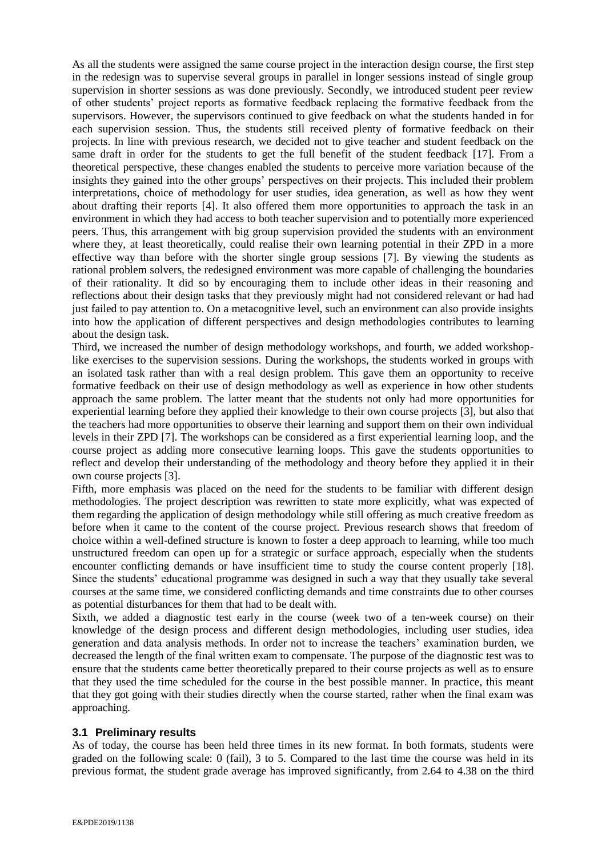As all the students were assigned the same course project in the interaction design course, the first step in the redesign was to supervise several groups in parallel in longer sessions instead of single group supervision in shorter sessions as was done previously. Secondly, we introduced student peer review of other students' project reports as formative feedback replacing the formative feedback from the supervisors. However, the supervisors continued to give feedback on what the students handed in for each supervision session. Thus, the students still received plenty of formative feedback on their projects. In line with previous research, we decided not to give teacher and student feedback on the same draft in order for the students to get the full benefit of the student feedback [17]. From a theoretical perspective, these changes enabled the students to perceive more variation because of the insights they gained into the other groups' perspectives on their projects. This included their problem interpretations, choice of methodology for user studies, idea generation, as well as how they went about drafting their reports [4]. It also offered them more opportunities to approach the task in an environment in which they had access to both teacher supervision and to potentially more experienced peers. Thus, this arrangement with big group supervision provided the students with an environment where they, at least theoretically, could realise their own learning potential in their ZPD in a more effective way than before with the shorter single group sessions [7]. By viewing the students as rational problem solvers, the redesigned environment was more capable of challenging the boundaries of their rationality. It did so by encouraging them to include other ideas in their reasoning and reflections about their design tasks that they previously might had not considered relevant or had had just failed to pay attention to. On a metacognitive level, such an environment can also provide insights into how the application of different perspectives and design methodologies contributes to learning about the design task.

Third, we increased the number of design methodology workshops, and fourth, we added workshoplike exercises to the supervision sessions. During the workshops, the students worked in groups with an isolated task rather than with a real design problem. This gave them an opportunity to receive formative feedback on their use of design methodology as well as experience in how other students approach the same problem. The latter meant that the students not only had more opportunities for experiential learning before they applied their knowledge to their own course projects [3], but also that the teachers had more opportunities to observe their learning and support them on their own individual levels in their ZPD [7]. The workshops can be considered as a first experiential learning loop, and the course project as adding more consecutive learning loops. This gave the students opportunities to reflect and develop their understanding of the methodology and theory before they applied it in their own course projects [3].

Fifth, more emphasis was placed on the need for the students to be familiar with different design methodologies. The project description was rewritten to state more explicitly, what was expected of them regarding the application of design methodology while still offering as much creative freedom as before when it came to the content of the course project. Previous research shows that freedom of choice within a well-defined structure is known to foster a deep approach to learning, while too much unstructured freedom can open up for a strategic or surface approach, especially when the students encounter conflicting demands or have insufficient time to study the course content properly [18]. Since the students' educational programme was designed in such a way that they usually take several courses at the same time, we considered conflicting demands and time constraints due to other courses as potential disturbances for them that had to be dealt with.

Sixth, we added a diagnostic test early in the course (week two of a ten-week course) on their knowledge of the design process and different design methodologies, including user studies, idea generation and data analysis methods. In order not to increase the teachers' examination burden, we decreased the length of the final written exam to compensate. The purpose of the diagnostic test was to ensure that the students came better theoretically prepared to their course projects as well as to ensure that they used the time scheduled for the course in the best possible manner. In practice, this meant that they got going with their studies directly when the course started, rather when the final exam was approaching.

## **3.1 Preliminary results**

As of today, the course has been held three times in its new format. In both formats, students were graded on the following scale: 0 (fail), 3 to 5. Compared to the last time the course was held in its previous format, the student grade average has improved significantly, from 2.64 to 4.38 on the third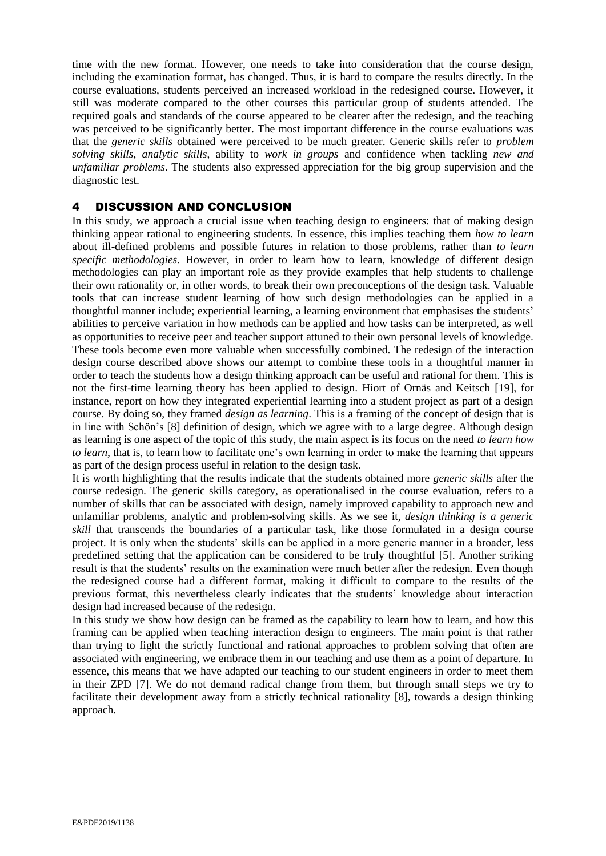time with the new format. However, one needs to take into consideration that the course design, including the examination format, has changed. Thus, it is hard to compare the results directly. In the course evaluations, students perceived an increased workload in the redesigned course. However, it still was moderate compared to the other courses this particular group of students attended. The required goals and standards of the course appeared to be clearer after the redesign, and the teaching was perceived to be significantly better. The most important difference in the course evaluations was that the *generic skills* obtained were perceived to be much greater. Generic skills refer to *problem solving skills*, *analytic skills*, ability to *work in groups* and confidence when tackling *new and unfamiliar problems*. The students also expressed appreciation for the big group supervision and the diagnostic test.

## 4 DISCUSSION AND CONCLUSION

In this study, we approach a crucial issue when teaching design to engineers: that of making design thinking appear rational to engineering students. In essence, this implies teaching them *how to learn* about ill-defined problems and possible futures in relation to those problems, rather than *to learn specific methodologies*. However, in order to learn how to learn, knowledge of different design methodologies can play an important role as they provide examples that help students to challenge their own rationality or, in other words, to break their own preconceptions of the design task. Valuable tools that can increase student learning of how such design methodologies can be applied in a thoughtful manner include; experiential learning, a learning environment that emphasises the students' abilities to perceive variation in how methods can be applied and how tasks can be interpreted, as well as opportunities to receive peer and teacher support attuned to their own personal levels of knowledge. These tools become even more valuable when successfully combined. The redesign of the interaction design course described above shows our attempt to combine these tools in a thoughtful manner in order to teach the students how a design thinking approach can be useful and rational for them. This is not the first-time learning theory has been applied to design. Hiort of Ornäs and Keitsch [19], for instance, report on how they integrated experiential learning into a student project as part of a design course. By doing so, they framed *design as learning*. This is a framing of the concept of design that is in line with Schön's [8] definition of design, which we agree with to a large degree. Although design as learning is one aspect of the topic of this study, the main aspect is its focus on the need *to learn how to learn*, that is, to learn how to facilitate one's own learning in order to make the learning that appears as part of the design process useful in relation to the design task.

It is worth highlighting that the results indicate that the students obtained more *generic skills* after the course redesign. The generic skills category, as operationalised in the course evaluation, refers to a number of skills that can be associated with design, namely improved capability to approach new and unfamiliar problems, analytic and problem-solving skills. As we see it, *design thinking is a generic skill* that transcends the boundaries of a particular task, like those formulated in a design course project. It is only when the students' skills can be applied in a more generic manner in a broader, less predefined setting that the application can be considered to be truly thoughtful [5]. Another striking result is that the students' results on the examination were much better after the redesign. Even though the redesigned course had a different format, making it difficult to compare to the results of the previous format, this nevertheless clearly indicates that the students' knowledge about interaction design had increased because of the redesign.

In this study we show how design can be framed as the capability to learn how to learn, and how this framing can be applied when teaching interaction design to engineers. The main point is that rather than trying to fight the strictly functional and rational approaches to problem solving that often are associated with engineering, we embrace them in our teaching and use them as a point of departure. In essence, this means that we have adapted our teaching to our student engineers in order to meet them in their ZPD [7]. We do not demand radical change from them, but through small steps we try to facilitate their development away from a strictly technical rationality [8], towards a design thinking approach.